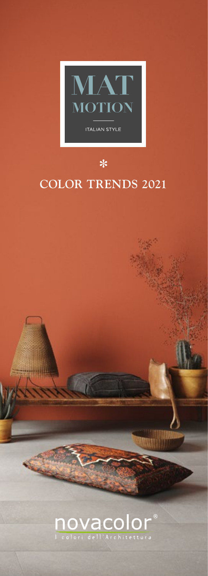

### $*$

### **COLOR TRENDS 2021**

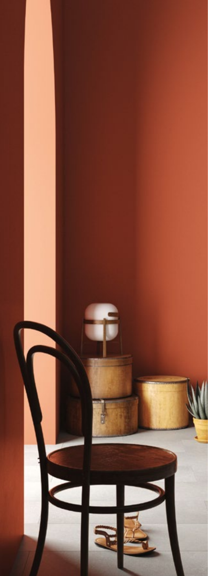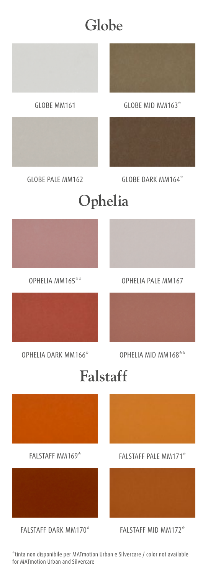### **Globe**



GLOBE MM161



GLOBE MID MM163\*



GLOBE PALE MM162



GLOBE DARK MM164\*

## **Ophelia**



OPHELIA MM165\*\*



OPHELIA DARK MM166\*



#### OPHELIA PALE MM167



#### OPHELIA MID MM168\*\*

### **Falstaff**



FALSTAFF DARK MM170\*

FALSTAFF MID MM172\*

\*tinta non disponibile per MATmotion Urban e Silvercare / color not available for MATmotion Urban and Silvercare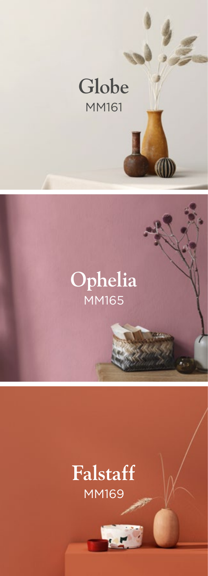# **Globe** MM161

**OD** 

# **Ophelia** MM165

# **Falstaff** MM169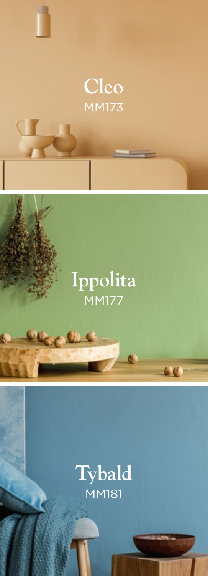

 $\overline{\mathbf{C}}$ 

## **Ippolita** MM177

**Belle** 

G

## **Tybald** MM181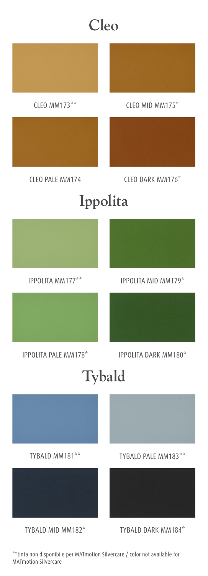



CLEO MID MM175\*



CLEO PALE MM174

CLEO DARK MM176\*

## **Ippolita**



IPPOLITA MM177\*\*



IPPOLITA PALE MM178\*



#### IPPOLITA MID MM179\*



#### IPPOLITA DARK MM180\*

### **Tybald**



#### TYBALD MID MM182\*

TYBALD DARK MM184\*

\*\*tinta non disponibile per MATmotion Silvercare / color not available for MATmotion Silvercare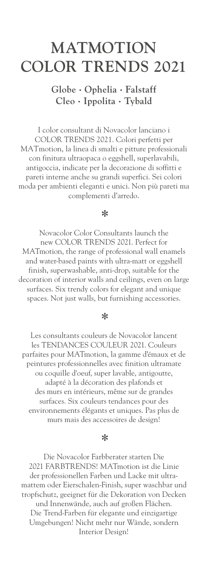### **MATMOTION COLOR TRENDS 2021**

#### **Globe · Ophelia · Falstaff Cleo · Ippolita · Tybald**

I color consultant di Novacolor lanciano i COLOR TRENDS 2021. Colori perfetti per MATmotion, la linea di smalti e pitture professionali con finitura ultraopaca o eggshell, superlavabili, antigoccia, indicate per la decorazione di soffitti e pareti interne anche su grandi superfici. Sei colori moda per ambienti eleganti e unici. Non più pareti ma complementi d'arredo.

#### $\ast$

Novacolor Color Consultants launch the new COLOR TRENDS 2021. Perfect for MATmotion, the range of professional wall enamels and water-based paints with ultra-matt or eggshell finish, superwashable, anti-drop, suitable for the decoration of interior walls and ceilings, even on large surfaces. Six trendy colors for elegant and unique spaces. Not just walls, but furnishing accessories.

#### $\ast$

Les consultants couleurs de Novacolor lancent les TENDANCES COULEUR 2021. Couleurs parfaites pour MATmotion, la gamme d'émaux et de peintures professionnelles avec finition ultramate ou coquille d'oeuf, super lavable, antigoutte, adapté à la décoration des plafonds et des murs en intérieurs, même sur de grandes surfaces. Six couleurs tendances pour des environnements élégants et uniques. Pas plus de murs mais des accessoires de design!

#### $\ast$

Die Novacolor Farbberater starten Die 2021 FARBTRENDS! MATmotion ist die Linie der professionellen Farben und Lacke mit ultramattem oder Eierschalen-Finish, super waschbar und tropfschutz, geeignet für die Dekoration von Decken und Innenwände, auch auf großen Flächen. Die Trend-Farben für elegante und einzigartige Umgebungen! Nicht mehr nur Wände, sondern Interior Design!